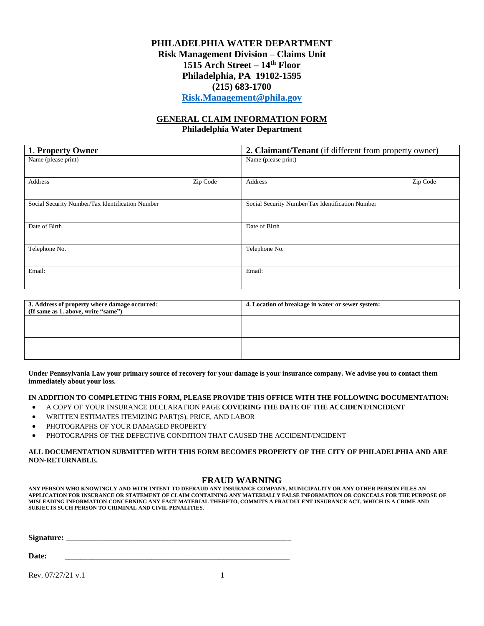# **PHILADELPHIA WATER DEPARTMENT Risk Management Division – Claims Unit 1515 Arch Street – 14th Floor Philadelphia, PA 19102-1595 (215) 683-1700 [Risk.Management@phila.gov](mailto:Risk.Management@phila.gov)**

## **GENERAL CLAIM INFORMATION FORM Philadelphia Water Department**

| 1. Property Owner                                |          | 2. Claimant/Tenant (if different from property owner) |          |  |
|--------------------------------------------------|----------|-------------------------------------------------------|----------|--|
| Name (please print)                              |          | Name (please print)                                   |          |  |
|                                                  |          |                                                       |          |  |
| Address                                          | Zip Code | Address                                               | Zip Code |  |
| Social Security Number/Tax Identification Number |          | Social Security Number/Tax Identification Number      |          |  |
|                                                  |          |                                                       |          |  |
| Date of Birth                                    |          | Date of Birth                                         |          |  |
|                                                  |          |                                                       |          |  |
| Telephone No.                                    |          | Telephone No.                                         |          |  |
|                                                  |          |                                                       |          |  |
| Email:                                           |          | Email:                                                |          |  |
|                                                  |          |                                                       |          |  |

| 3. Address of property where damage occurred:<br>(If same as 1. above, write "same") | 4. Location of breakage in water or sewer system: |  |  |
|--------------------------------------------------------------------------------------|---------------------------------------------------|--|--|
|                                                                                      |                                                   |  |  |
|                                                                                      |                                                   |  |  |
|                                                                                      |                                                   |  |  |

**Under Pennsylvania Law your primary source of recovery for your damage is your insurance company. We advise you to contact them immediately about your loss.**

## **IN ADDITION TO COMPLETING THIS FORM, PLEASE PROVIDE THIS OFFICE WITH THE FOLLOWING DOCUMENTATION:**

- A COPY OF YOUR INSURANCE DECLARATION PAGE **COVERING THE DATE OF THE ACCIDENT/INCIDENT**
- WRITTEN ESTIMATES ITEMIZING PART(S), PRICE, AND LABOR
- PHOTOGRAPHS OF YOUR DAMAGED PROPERTY
- PHOTOGRAPHS OF THE DEFECTIVE CONDITION THAT CAUSED THE ACCIDENT/INCIDENT

### **ALL DOCUMENTATION SUBMITTED WITH THIS FORM BECOMES PROPERTY OF THE CITY OF PHILADELPHIA AND ARE NON-RETURNABLE.**

### **FRAUD WARNING**

**ANY PERSON WHO KNOWINGLY AND WITH INTENT TO DEFRAUD ANY INSURANCE COMPANY, MUNICIPALITY OR ANY OTHER PERSON FILES AN APPLICATION FOR INSURANCE OR STATEMENT OF CLAIM CONTAINING ANY MATERIALLY FALSE INFORMATION OR CONCEALS FOR THE PURPOSE OF MISLEADING INFORMATION CONCERNING ANY FACT MATERIAL THERETO, COMMITS A FRAUDULENT INSURANCE ACT, WHICH IS A CRIME AND SUBJECTS SUCH PERSON TO CRIMINAL AND CIVIL PENALITIES.**

**Signature:** \_\_\_\_\_\_\_\_\_\_\_\_\_\_\_\_\_\_\_\_\_\_\_\_\_\_\_\_\_\_\_\_\_\_\_\_\_\_\_\_\_\_\_\_\_\_\_\_\_\_\_\_\_\_\_\_\_

**Date:** \_\_\_\_\_\_\_\_\_\_\_\_\_\_\_\_\_\_\_\_\_\_\_\_\_\_\_\_\_\_\_\_\_\_\_\_\_\_\_\_\_\_\_\_\_\_\_\_\_\_\_\_\_\_\_\_\_

Rev.  $07/27/21$  v.1 1